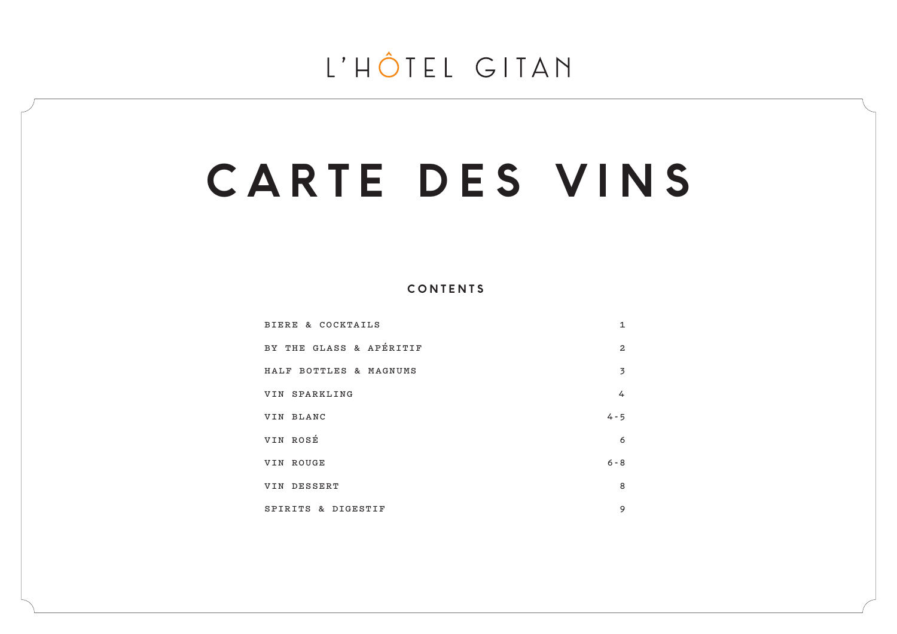# **CARTE DES VINS**

**CONTENTS**

| BIERE & COCKTAILS       | $\mathbf{1}$   |
|-------------------------|----------------|
| BY THE GLASS & APÉRITIF | $\overline{2}$ |
| HALF BOTTLES & MAGNUMS  | 3              |
| VIN SPARKLING           | 4              |
| VIN BLANC               | $4 - 5$        |
| VIN ROSÉ                | 6              |
| VIN ROUGE               | $6 - 8$        |
| VIN DESSERT             | 8              |
| SPIRITS & DIGESTIF      | 9              |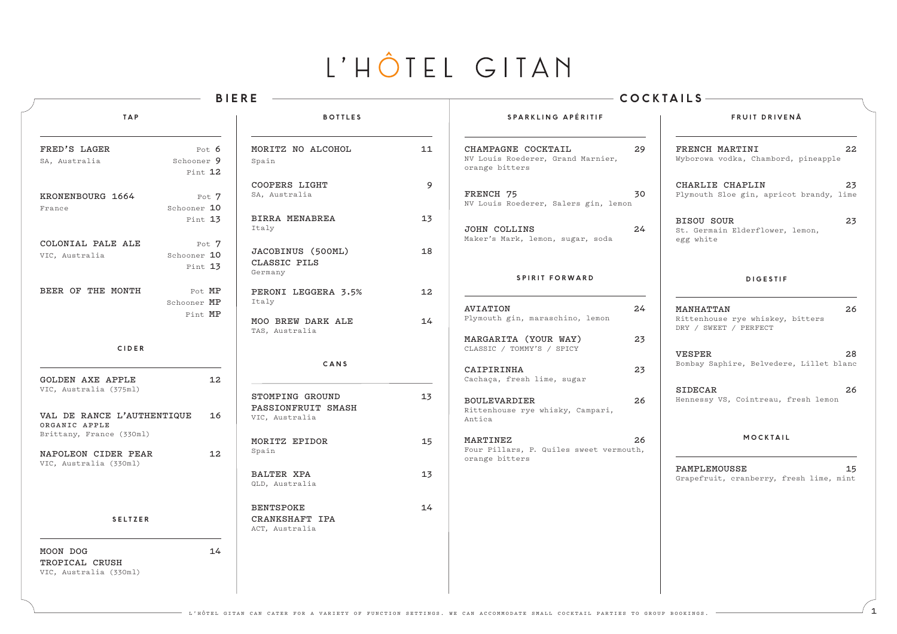|                                                                       |                                  | <b>BIERE</b>                                            |    |                                                                                            | COCKTAILS-                                                                       |
|-----------------------------------------------------------------------|----------------------------------|---------------------------------------------------------|----|--------------------------------------------------------------------------------------------|----------------------------------------------------------------------------------|
| <b>TAP</b>                                                            |                                  | <b>BOTTLES</b>                                          |    | SPARKLING APÉRITIF                                                                         | FRUIT DRIVENÅ                                                                    |
| FRED'S LAGER<br>SA, Australia                                         | Pot $6$<br>Schooner 9<br>Pint 12 | MORITZ NO ALCOHOL<br>Spain                              | 11 | CHAMPAGNE COCKTAIL<br>29<br>NV Louis Roederer, Grand Marnier,<br>orange bitters            | FRENCH MARTINI<br>22<br>Wyborowa vodka, Chambord, pineapple                      |
| KRONENBOURG 1664<br>France                                            | Pot 7<br>Schooner 10             | COOPERS LIGHT<br>SA, Australia                          | 9  | FRENCH 75<br>30<br>NV Louis Roederer, Salers gin, lemon                                    | CHARLIE CHAPLIN<br>23<br>Plymouth Sloe gin, apricot brandy, lime                 |
|                                                                       | Pint 13                          | BIRRA MENABREA<br>Italy                                 | 13 | 24<br><b>JOHN COLLINS</b><br>Maker's Mark, lemon, sugar, soda                              | 23<br><b>BISOU SOUR</b><br>St. Germain Elderflower, lemon,<br>egg white          |
| COLONIAL PALE ALE<br>VIC, Australia                                   | Pot 7<br>Schooner 10<br>Pint 13  | JACOBINUS (500ML)<br>CLASSIC PILS<br>Germany            | 18 |                                                                                            |                                                                                  |
| BEER OF THE MONTH                                                     | Pot MP<br>Schooner MP<br>Pint MP | PERONI LEGGERA 3.5%<br>Italy                            | 12 | <b>SPIRIT FORWARD</b><br><b>AVIATION</b><br>24                                             | <b>DIGESTIF</b><br>MANHATTAN<br>26                                               |
| <b>CIDER</b>                                                          |                                  | MOO BREW DARK ALE<br>TAS, Australia                     | 14 | Plymouth gin, maraschino, lemon<br>MARGARITA (YOUR WAY)<br>23<br>CLASSIC / TOMMY'S / SPICY | Rittenhouse rye whiskey, bitters<br>DRY / SWEET / PERFECT<br><b>VESPER</b><br>28 |
| <b>GOLDEN AXE APPLE</b>                                               | 12                               | CANS                                                    |    | 23<br>CAIPIRINHA<br>Cachaça, fresh lime, sugar                                             | Bombay Saphire, Belvedere, Lillet blanc                                          |
| VIC, Australia (375ml)<br>VAL DE RANCE L'AUTHENTIQUE<br>ORGANIC APPLE | 16                               | STOMPING GROUND<br>PASSIONFRUIT SMASH<br>VIC, Australia | 13 | <b>BOULEVARDIER</b><br>26<br>Rittenhouse rye whisky, Campari,<br>Antica                    | <b>SIDECAR</b><br>26<br>Hennessy VS, Cointreau, fresh lemon                      |
| Brittany, France (330ml)<br>NAPOLEON CIDER PEAR                       | 12 <sup>2</sup>                  | MORITZ EPIDOR<br>Spain                                  | 15 | MARTINEZ<br>26<br>Four Pillars, P. Quiles sweet vermouth,<br>orange bitters                | MOCKTAIL                                                                         |
| VIC, Australia (330ml)                                                |                                  | <b>BALTER XPA</b><br>QLD, Australia                     | 13 |                                                                                            | PAMPLEMOUSSE<br>15<br>Grapefruit, cranberry, fresh lime, mint                    |
| <b>SELTZER</b>                                                        |                                  | <b>BENTSPOKE</b><br>CRANKSHAFT IPA<br>ACT, Australia    | 14 |                                                                                            |                                                                                  |
| MOON DOG<br>TROPICAL CRUSH<br>VIC, Australia (330ml)                  | 14                               |                                                         |    |                                                                                            |                                                                                  |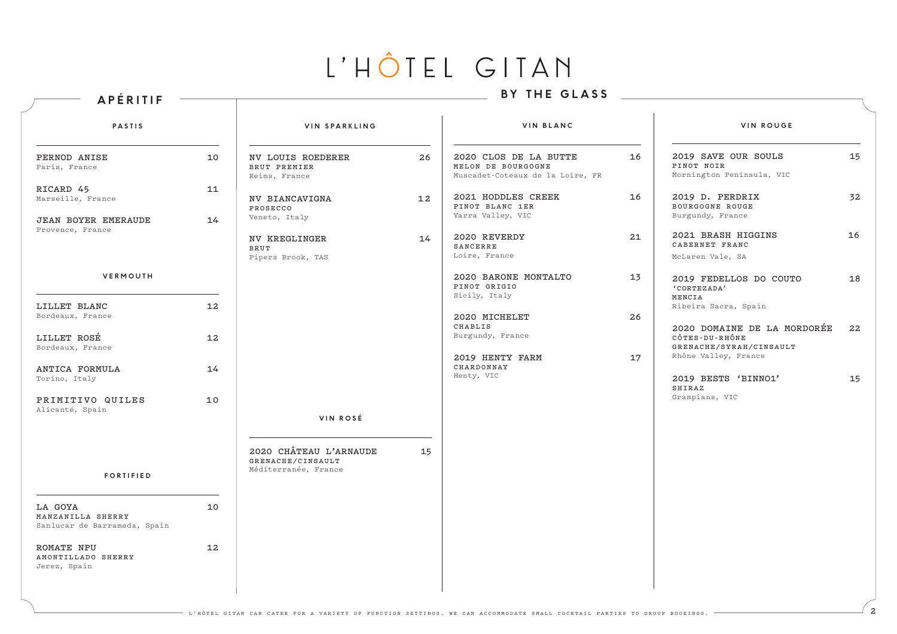| APÉRITIF                                                     |          |                                                                     |    | BY THE GLASS                                                                    |    |                                                                                                  |    |
|--------------------------------------------------------------|----------|---------------------------------------------------------------------|----|---------------------------------------------------------------------------------|----|--------------------------------------------------------------------------------------------------|----|
| <b>PASTIS</b>                                                |          | VIN SPARKLING                                                       |    | VIN BLANC                                                                       |    | <b>VIN ROUGE</b>                                                                                 |    |
| PERNOD ANISE<br>Paris, France                                | 10       | <b>NV LOUIS ROEDERER</b><br>BRUT PREMIER<br>Reims, France           | 26 | 2020 CLOS DE LA BUTTE<br>MELON DE BOURGOGNE<br>Muscadet-Coteaux de la Loire, FR | 16 | 2019 SAVE OUR SOULS<br>PINOT NOIR<br>Mornington Peninsula, VIC                                   | 15 |
| RICARD 45<br>Marseille, France<br><b>JEAN BOYER EMERAUDE</b> | 11<br>14 | NV BIANCAVIGNA<br>PROSECCO<br>Veneto, Italy                         | 12 | 2021 HODDLES CREEK<br>PINOT BLANC 1ER<br>Yarra Valley, VIC                      | 16 | 2019 D. PERDRIX<br>BOURGOGNE ROUGE<br>Burgundy, France                                           | 32 |
| Provence, France                                             |          | NV KREGLINGER<br>BRUT<br>Pipers Brook, TAS                          | 14 | 2020 REVERDY<br>SANCERRE<br>Loire, France                                       | 21 | 2021 BRASH HIGGINS<br>CABERNET FRANC<br>McLaren Vale, SA                                         | 16 |
| VERMOUTH                                                     |          |                                                                     |    | 2020 BARONE MONTALTO<br>PINOT GRIGIO<br>Sicily, Italy                           | 13 | 2019 FEDELLOS DO COUTO<br>'CORTEZADA'<br>MENCIA                                                  | 18 |
| LILLET BLANC<br>Bordeaux, France                             | 12       |                                                                     |    | 2020 MICHELET<br>CHABLIS                                                        | 26 | Ribeira Sacra, Spain                                                                             |    |
| LILLET ROSÉ<br>Bordeaux, France                              | 12       |                                                                     |    | Burgundy, France<br>2019 HENTY FARM                                             | 17 | 2020 DOMAINE DE LA MORDORÉE<br>CÔTES-DU-RHÔNE<br>GRENACHE/SYRAH/CINSAULT<br>Rhône Valley, France | 22 |
| ANTICA FORMULA<br>Torino, Italy                              | 14       |                                                                     |    | CHARDONNAY<br>Henty, VIC                                                        |    | 2019 BESTS 'BINNO1'                                                                              | 15 |
| PRIMITIVO QUILES<br>Alicanté, Spain                          | 10       |                                                                     |    |                                                                                 |    | SHIRAZ<br>Grampians, VIC                                                                         |    |
|                                                              |          | VIN ROSÉ                                                            |    |                                                                                 |    |                                                                                                  |    |
| <b>FORTIFIED</b>                                             |          | 2020 CHÂTEAU L'ARNAUDE<br>GRENACHE/CINSAULT<br>Méditerranée, France | 15 |                                                                                 |    |                                                                                                  |    |
| LA GOYA<br>MANZANILLA SHERRY<br>Sanlucar de Barrameda, Spain | 10       |                                                                     |    |                                                                                 |    |                                                                                                  |    |
| <b>ROMATE NPU</b><br>AMONTILLADO SHERRY<br>Jerez, Spain      | 12       |                                                                     |    |                                                                                 |    |                                                                                                  |    |
|                                                              |          |                                                                     |    |                                                                                 |    |                                                                                                  |    |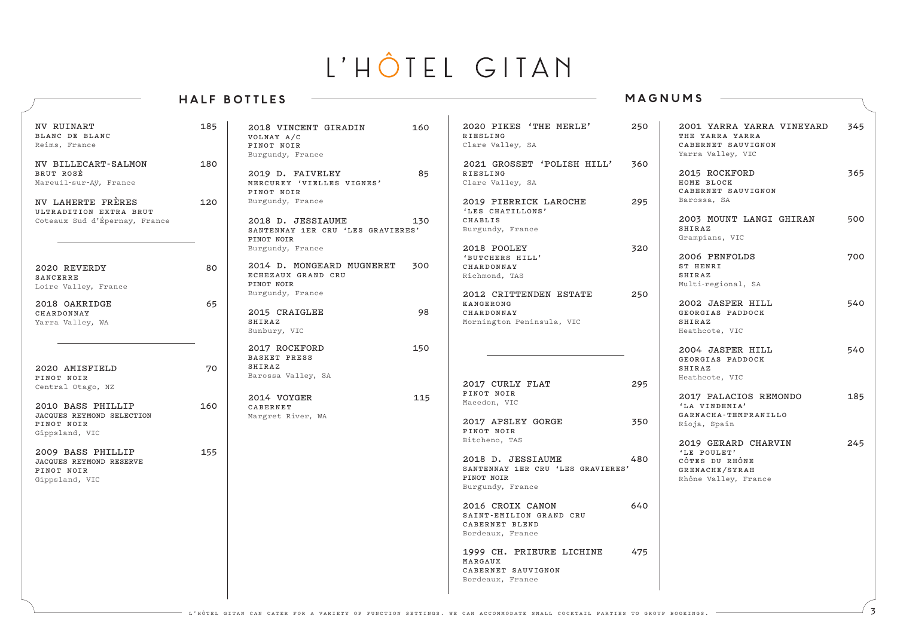### **HALF BOTTLES**

### **MAGNUMS**

| <b>NV RUINART</b><br>BLANC DE BLANC<br>Reims, France<br>NV BILLECART-SALMON<br>BRUT ROSÉ<br>Mareuil-sur-Ay, France | 185<br>180 | 2018 VINCENT GIRADIN<br>VOLNAY A/C<br>PINOT NOIR<br>Burgundy, France<br>2019 D. FAIVELEY<br>MERCUREY 'VIELLES VIGNES'<br>PINOT NOIR | 160<br>85 | 2020 PIKES 'THE MERLE'<br><b>RIESLING</b><br>Clare Valley, SA<br>2021 GROSSET 'POLISH HILL'<br><b>RIESLING</b><br>Clare Valley, SA | 250<br>360 | 2001 YARRA YARRA VINEYARD<br>THE YARRA YARRA<br>CABERNET SAUVIGNON<br>Yarra Valley, VIC<br>2015 ROCKFORD<br>HOME BLOCK<br>CABERNET SAUVIGNON | 345<br>365 |
|--------------------------------------------------------------------------------------------------------------------|------------|-------------------------------------------------------------------------------------------------------------------------------------|-----------|------------------------------------------------------------------------------------------------------------------------------------|------------|----------------------------------------------------------------------------------------------------------------------------------------------|------------|
| NV LAHERTE FRÈRES<br>ULTRADITION EXTRA BRUT<br>Coteaux Sud d'Épernay, France                                       | 120        | Burgundy, France<br>2018 D. JESSIAUME<br>SANTENNAY 1ER CRU 'LES GRAVIERES'<br>PINOT NOIR<br>Burgundy, France                        | 130       | 2019 PIERRICK LAROCHE<br>'LES CHATILLONS'<br>CHABLIS<br>Burgundy, France<br>2018 POOLEY                                            | 295<br>320 | Barossa, SA<br>2003 MOUNT LANGI GHIRAN<br>SHIRAZ<br>Grampians, VIC                                                                           | 500        |
| 2020 REVERDY<br>SANCERRE<br>Loire Valley, France                                                                   | 80         | 2014 D. MONGEARD MUGNERET<br>ECHEZAUX GRAND CRU<br>PINOT NOIR<br>Burgundy, France                                                   | 300       | 'BUTCHERS HILL'<br>CHARDONNAY<br>Richmond, TAS<br>2012 CRITTENDEN ESTATE                                                           | 250        | 2006 PENFOLDS<br>ST HENRI<br>SHIRAZ<br>Multi-regional, SA                                                                                    | 700        |
| 2018 OAKRIDGE<br>CHARDONNAY<br>Yarra Valley, WA                                                                    | 65         | 2015 CRAIGLEE<br>SHIRAZ<br>Sunbury, VIC                                                                                             | 98        | KANGERONG<br>CHARDONNAY<br>Mornington Peninsula, VIC                                                                               |            | 2002 JASPER HILL<br>GEORGIAS PADDOCK<br>SHIRAZ<br>Heathcote, VIC                                                                             | 540        |
| 2020 AMISFIELD<br>PINOT NOIR                                                                                       | 70         | 2017 ROCKFORD<br>BASKET PRESS<br>SHIRAZ<br>Barossa Valley, SA                                                                       | 150       | 2017 CURLY FLAT                                                                                                                    | 295        | 2004 JASPER HILL<br>GEORGIAS PADDOCK<br>SHIRAZ<br>Heathcote, VIC                                                                             | 540        |
| Central Otago, NZ<br>2010 BASS PHILLIP<br>JACQUES REYMOND SELECTION<br>PINOT NOIR<br>Gippsland, VIC                | 160        | 2014 VOYGER<br>CABERNET<br>Margret River, WA                                                                                        | 115       | PINOT NOIR<br>Macedon, VIC<br>2017 APSLEY GORGE<br>PINOT NOIR                                                                      | 350        | 2017 PALACIOS REMONDO<br>'LA VINDEMIA'<br>GARNACHA-TEMPRANILLO<br>Rioja, Spain                                                               | 185        |
| 2009 BASS PHILLIP<br><b>JACQUES REYMOND RESERVE</b><br>PINOT NOIR<br>Gippsland, VIC                                | 155        |                                                                                                                                     |           | Bitcheno, TAS<br>2018 D. JESSIAUME<br>SANTENNAY 1ER CRU 'LES GRAVIERES'<br>PINOT NOIR<br>Burgundy, France                          | 480        | 2019 GERARD CHARVIN<br>'LE POULET'<br>CÔTES DU RHÔNE<br>GRENACHE/SYRAH<br>Rhône Valley, France                                               | 245        |
|                                                                                                                    |            |                                                                                                                                     |           | 2016 CROIX CANON<br>SAINT-EMILION GRAND CRU<br>CABERNET BLEND<br>Bordeaux, France                                                  | 640        |                                                                                                                                              |            |
|                                                                                                                    |            |                                                                                                                                     |           | 1999 CH. PRIEURE LICHINE<br>MARGAUX<br>CABERNET SAUVIGNON<br>Bordeaux, France                                                      | 475        |                                                                                                                                              |            |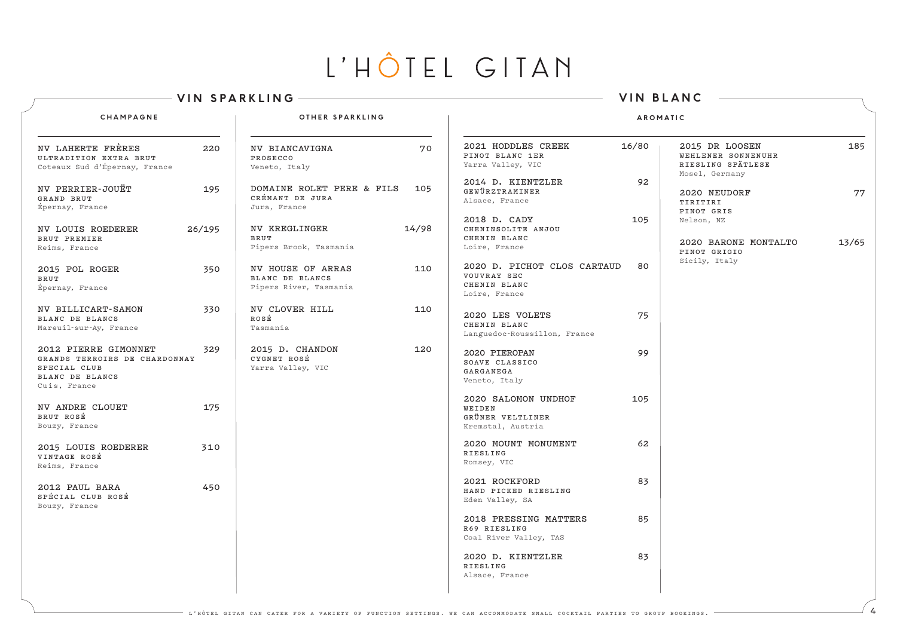|                                                                                                                 | <b>VIN SPARKLING</b>                                                         | <b>VIN BLANC</b>                                                                  |                                                                                    |  |  |  |  |
|-----------------------------------------------------------------------------------------------------------------|------------------------------------------------------------------------------|-----------------------------------------------------------------------------------|------------------------------------------------------------------------------------|--|--|--|--|
| CHAMPAGNE                                                                                                       | OTHER SPARKLING                                                              | <b>AROMATIC</b>                                                                   |                                                                                    |  |  |  |  |
| NV LAHERTE FRÈRES<br>220<br>ULTRADITION EXTRA BRUT<br>Coteaux Sud d'Épernay, France                             | <b>NV BIANCAVIGNA</b><br>70<br>PROSECCO<br>Veneto, Italy                     | 2021 HODDLES CREEK<br>16/80<br>PINOT BLANC 1ER<br>Yarra Valley, VIC               | 185<br>2015 DR LOOSEN<br>WEHLENER SONNENUHR<br>RIESLING SPÄTLESE<br>Mosel, Germany |  |  |  |  |
| NV PERRIER-JOUËT<br>195<br>GRAND BRUT<br>Épernay, France                                                        | DOMAINE ROLET PERE & FILS<br>105<br>CRÉMANT DE JURA<br>Jura, France          | 92<br>2014 D. KIENTZLER<br>GEWÜRZTRAMINER<br>Alsace, France                       | 77<br>2020 NEUDORF<br>TIRITIRI<br>PINOT GRIS                                       |  |  |  |  |
| 26/195<br><b>NV LOUIS ROEDERER</b><br>BRUT PREMIER<br>Reims, France                                             | 14/98<br><b>NV KREGLINGER</b><br>BRUT<br>Pipers Brook, Tasmania              | 2018 D. CADY<br>105<br>CHENINSOLITE ANJOU<br>CHENIN BLANC<br>Loire, France        | Nelson, NZ<br>13/65<br>2020 BARONE MONTALTO<br>PINOT GRIGIO<br>Sicily, Italy       |  |  |  |  |
| 2015 POL ROGER<br>350<br>BRUT<br>Épernay, France                                                                | <b>NV HOUSE OF ARRAS</b><br>110<br>BLANC DE BLANCS<br>Pipers River, Tasmania | 2020 D. PICHOT CLOS CARTAUD<br>80<br>VOUVRAY SEC<br>CHENIN BLANC<br>Loire, France |                                                                                    |  |  |  |  |
| 330<br><b>NV BILLICART-SAMON</b><br>BLANC DE BLANCS<br>Mareuil-sur-Ay, France                                   | <b>NV CLOVER HILL</b><br>110<br>ROSÉ<br>Tasmania                             | 2020 LES VOLETS<br>75<br>CHENIN BLANC<br>Languedoc-Roussillon, France             |                                                                                    |  |  |  |  |
| 2012 PIERRE GIMONNET<br>329<br>GRANDS TERROIRS DE CHARDONNAY<br>SPECIAL CLUB<br>BLANC DE BLANCS<br>Cuis, France | 2015 D. CHANDON<br>120<br>CYGNET ROSÉ<br>Yarra Valley, VIC                   | 99<br>2020 PIEROPAN<br>SOAVE CLASSICO<br>GARGANEGA<br>Veneto, Italy               |                                                                                    |  |  |  |  |
| <b>NV ANDRE CLOUET</b><br>175<br>BRUT ROSÉ<br>Bouzy, France                                                     |                                                                              | 2020 SALOMON UNDHOF<br>105<br>WEIDEN<br>GRÜNER VELTLINER<br>Kremstal, Austria     |                                                                                    |  |  |  |  |
| 2015 LOUIS ROEDERER<br>310<br>VINTAGE ROSÉ<br>Reims, France                                                     |                                                                              | 2020 MOUNT MONUMENT<br>62<br><b>RIESLING</b><br>Romsey, VIC                       |                                                                                    |  |  |  |  |
| 450<br>2012 PAUL BARA<br>SPÉCIAL CLUB ROSÉ<br>Bouzy, France                                                     |                                                                              | 2021 ROCKFORD<br>83<br>HAND PICKED RIESLING<br>Eden Valley, SA                    |                                                                                    |  |  |  |  |
|                                                                                                                 |                                                                              | 2018 PRESSING MATTERS<br>85<br>R69 RIESLING<br>Coal River Valley, TAS             |                                                                                    |  |  |  |  |
|                                                                                                                 |                                                                              | 2020 D. KIENTZLER<br>83<br><b>RIESLING</b><br>Alsace, France                      |                                                                                    |  |  |  |  |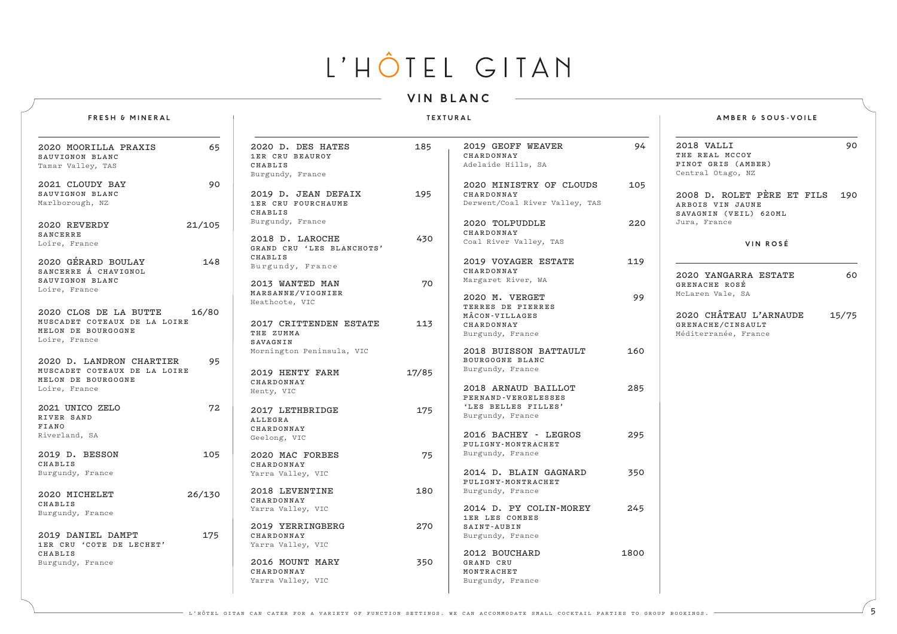### **VIN BLANC**

### **FRESH & MINERAL**

#### **TEXTURAL**

|  | <b>AMBER &amp; SOUS-VOILE</b> |  |  |  |  |  |  |
|--|-------------------------------|--|--|--|--|--|--|
|--|-------------------------------|--|--|--|--|--|--|

| 2020 MOORILLA PRAXIS         | 65     | 2020 D. DES HATES         | 185   | 2019 GEOFF WEAVER              | 94   | 90<br>2018 VALLI                  |
|------------------------------|--------|---------------------------|-------|--------------------------------|------|-----------------------------------|
| SAUVIGNON BLANC              |        | 1ER CRU BEAUROY           |       | CHARDONNAY                     |      | THE REAL MCCOY                    |
| Tamar Valley, TAS            |        | CHABLIS                   |       | Adelaide Hills, SA             |      | PINOT GRIS (AMBER)                |
|                              |        | Burgundy, France          |       |                                |      | Central Otago, NZ                 |
| 2021 CLOUDY BAY              | 90     |                           |       | 2020 MINISTRY OF CLOUDS        | 105  |                                   |
| SAUVIGNON BLANC              |        | 2019 D. JEAN DEFAIX       | 195   | CHARDONNAY                     |      | 2008 D. ROLET PÈRE ET FILS<br>190 |
| Marlborough, NZ              |        | 1ER CRU FOURCHAUME        |       | Derwent/Coal River Valley, TAS |      |                                   |
|                              |        | CHABLIS                   |       |                                |      | ARBOIS VIN JAUNE                  |
|                              |        | Burgundy, France          |       |                                |      | SAVAGNIN (VEIL) 620ML             |
| 2020 REVERDY                 | 21/105 |                           |       | 2020 TOLPUDDLE                 | 220  | Jura, France                      |
| <b>SANCERRE</b>              |        | 2018 D. LAROCHE           | 430   | CHARDONNAY                     |      |                                   |
| Loire, France                |        | GRAND CRU 'LES BLANCHOTS' |       | Coal River Valley, TAS         |      | VIN ROSÉ                          |
|                              |        | CHABLIS                   |       |                                |      |                                   |
| 2020 GÉRARD BOULAY           | 148    |                           |       | 2019 VOYAGER ESTATE            | 119  |                                   |
| SANCERRE Á CHAVIGNOL         |        | Burgundy, France          |       | CHARDONNAY                     |      |                                   |
| SAUVIGNON BLANC              |        |                           | 70    | Margaret River, WA             |      | 60<br>2020 YANGARRA ESTATE        |
| Loire, France                |        | 2013 WANTED MAN           |       |                                |      | GRENACHE ROSÉ                     |
|                              |        | MARSANNE/VIOGNIER         |       | 2020 M. VERGET                 | 99   | McLaren Vale, SA                  |
|                              |        | Heathcote, VIC            |       | TERRES DE PIERRES              |      |                                   |
| 2020 CLOS DE LA BUTTE        | 16/80  |                           |       | MÂCON-VILLAGES                 |      | 2020 CHÂTEAU L'ARNAUDE<br>15/75   |
| MUSCADET COTEAUX DE LA LOIRE |        | 2017 CRITTENDEN ESTATE    | 113   | CHARDONNAY                     |      | GRENACHE/CINSAULT                 |
| MELON DE BOURGOGNE           |        | THE ZUMMA                 |       | Burgundy, France               |      | Méditerranée, France              |
| Loire, France                |        | SAVAGNIN                  |       |                                |      |                                   |
|                              |        | Mornington Peninsula, VIC |       | 2018 BUISSON BATTAULT          | 160  |                                   |
| 2020 D. LANDRON CHARTIER     | 95     |                           |       | BOURGOGNE BLANC                |      |                                   |
| MUSCADET COTEAUX DE LA LOIRE |        |                           |       | Burgundy, France               |      |                                   |
| MELON DE BOURGOGNE           |        | 2019 HENTY FARM           | 17/85 |                                |      |                                   |
| Loire, France                |        | CHARDONNAY                |       | 2018 ARNAUD BAILLOT            | 285  |                                   |
|                              |        | Henty, VIC                |       | PERNAND-VERGELESSES            |      |                                   |
| 2021 UNICO ZELO              | 72     |                           |       | 'LES BELLES FILLES'            |      |                                   |
| RIVER SAND                   |        | 2017 LETHBRIDGE           | 175   | Burgundy, France               |      |                                   |
| FIANO                        |        | ALLEGRA                   |       |                                |      |                                   |
|                              |        | CHARDONNAY                |       |                                | 295  |                                   |
| Riverland, SA                |        | Geelong, VIC              |       | 2016 BACHEY - LEGROS           |      |                                   |
|                              |        |                           |       | PULIGNY-MONTRACHET             |      |                                   |
| 2019 D. BESSON               | 105    | 2020 MAC FORBES           | 75    | Burgundy, France               |      |                                   |
| CHABLIS                      |        | CHARDONNAY                |       |                                |      |                                   |
| Burgundy, France             |        | Yarra Valley, VIC         |       | 2014 D. BLAIN GAGNARD          | 350  |                                   |
|                              |        |                           |       | PULIGNY-MONTRACHET             |      |                                   |
| 2020 MICHELET                | 26/130 | 2018 LEVENTINE            | 180   | Burgundy, France               |      |                                   |
| CHABLIS                      |        | CHARDONNAY                |       |                                |      |                                   |
| Burgundy, France             |        | Yarra Valley, VIC         |       | 2014 D. PY COLIN-MOREY         | 245  |                                   |
|                              |        |                           |       | 1ER LES COMBES                 |      |                                   |
|                              |        | 2019 YERRINGBERG          | 270   | SAINT-AUBIN                    |      |                                   |
| 2019 DANIEL DAMPT            | 175    | CHARDONNAY                |       | Burgundy, France               |      |                                   |
| 1ER CRU 'COTE DE LECHET'     |        | Yarra Valley, VIC         |       |                                |      |                                   |
| CHABLIS                      |        |                           |       | 2012 BOUCHARD                  | 1800 |                                   |
| Burgundy, France             |        | 2016 MOUNT MARY           | 350   | GRAND CRU                      |      |                                   |
|                              |        | CHARDONNAY                |       | MONTRACHET                     |      |                                   |
|                              |        | Yarra Valley, VIC         |       | Burgundy, France               |      |                                   |
|                              |        |                           |       |                                |      |                                   |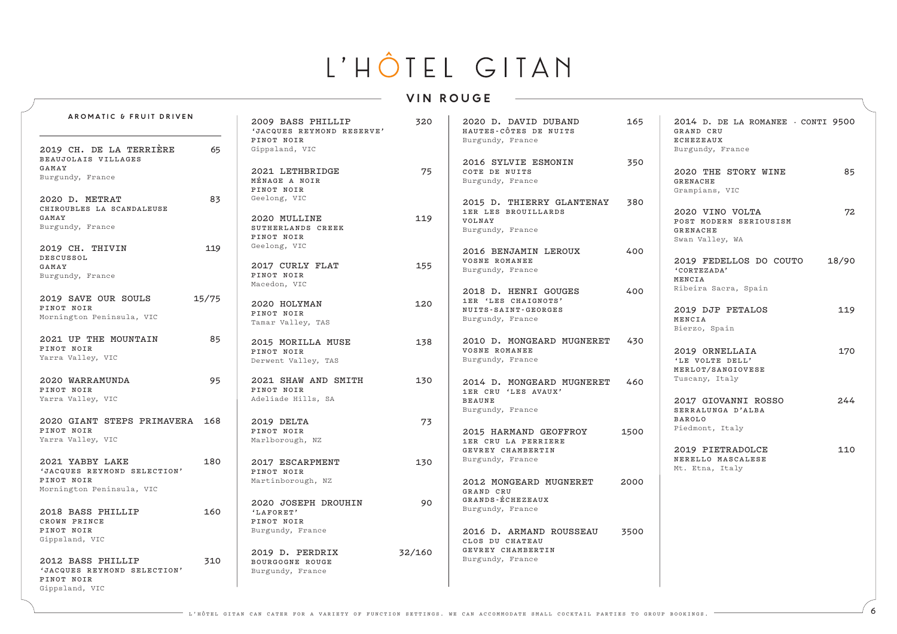### **VIN ROUGE**

| AROMATIC & FRUIT DRIVEN                     |       |                                                | 320    | 2020 D. DAVID DUBAND                             | 165  |                                                 |       |
|---------------------------------------------|-------|------------------------------------------------|--------|--------------------------------------------------|------|-------------------------------------------------|-------|
|                                             |       | 2009 BASS PHILLIP<br>'JACQUES REYMOND RESERVE' |        | HAUTES-CÔTES DE NUITS                            |      | 2014 D. DE LA ROMANEE - CONTI 9500<br>GRAND CRU |       |
| 2019 CH. DE LA TERRIÈRE                     |       | PINOT NOIR                                     |        | Burgundy, France                                 |      | ECHEZEAUX                                       |       |
| BEAUJOLAIS VILLAGES                         | 65    | Gippsland, VIC                                 |        | 2016 SYLVIE ESMONIN                              | 350  | Burgundy, France                                |       |
| GAMAY                                       |       | 2021 LETHBRIDGE                                | 75     | COTE DE NUITS                                    |      | 2020 THE STORY WINE                             | 85    |
| Burgundy, France                            |       | MÉNAGE A NOIR                                  |        | Burgundy, France                                 |      | <b>GRENACHE</b>                                 |       |
|                                             |       | PINOT NOIR                                     |        |                                                  |      | Grampians, VIC                                  |       |
| 2020 D. METRAT<br>CHIROUBLES LA SCANDALEUSE | 83    | Geelong, VIC                                   |        | 2015 D. THIERRY GLANTENAY                        | 380  |                                                 |       |
| GAMAY                                       |       | 2020 MULLINE                                   | 119    | 1ER LES BROUILLARDS<br>VOLNAY                    |      | 2020 VINO VOLTA<br>POST MODERN SERIOUSISM       | 72    |
| Burgundy, France                            |       | SUTHERLANDS CREEK                              |        | Burgundy, France                                 |      | <b>GRENACHE</b>                                 |       |
|                                             |       | PINOT NOIR<br>Geelong, VIC                     |        |                                                  |      | Swan Valley, WA                                 |       |
| 2019 CH. THIVIN<br><b>DESCUSSOL</b>         | 119   |                                                |        | 2016 BENJAMIN LEROUX                             | 400  |                                                 |       |
| GAMAY                                       |       | 2017 CURLY FLAT                                | 155    | VOSNE ROMANEE<br>Burgundy, France                |      | 2019 FEDELLOS DO COUTO<br>'CORTEZADA'           | 18/90 |
| Burgundy, France                            |       | PINOT NOIR                                     |        |                                                  |      | MENCIA                                          |       |
|                                             |       | Macedon, VIC                                   |        | 2018 D. HENRI GOUGES                             | 400  | Ribeira Sacra, Spain                            |       |
| 2019 SAVE OUR SOULS                         | 15/75 | 2020 HOLYMAN                                   | 120    | 1ER 'LES CHAIGNOTS'                              |      |                                                 |       |
| PINOT NOIR<br>Mornington Peninsula, VIC     |       | PINOT NOIR                                     |        | NUITS-SAINT-GEORGES                              |      | 2019 DJP PETALOS                                | 119   |
|                                             |       | Tamar Valley, TAS                              |        | Burgundy, France                                 |      | MENCIA<br>Bierzo, Spain                         |       |
| 2021 UP THE MOUNTAIN                        | 85    | 2015 MORILLA MUSE                              | 138    | 2010 D. MONGEARD MUGNERET                        | 430  |                                                 |       |
| PINOT NOIR                                  |       | PINOT NOIR                                     |        | VOSNE ROMANEE                                    |      | 2019 ORNELLAIA                                  | 170   |
| Yarra Valley, VIC                           |       | Derwent Valley, TAS                            |        | Burgundy, France                                 |      | 'LE VOLTE DELL'                                 |       |
| 2020 WARRAMUNDA                             | 95    |                                                |        |                                                  |      | MERLOT/SANGIOVESE<br>Tuscany, Italy             |       |
| PINOT NOIR                                  |       | 2021 SHAW AND SMITH<br>PINOT NOIR              | 130    | 2014 D. MONGEARD MUGNERET<br>1ER CRU 'LES AVAUX' | 460  |                                                 |       |
| Yarra Valley, VIC                           |       | Adeliade Hills, SA                             |        | <b>BEAUNE</b>                                    |      | 2017 GIOVANNI ROSSO                             | 244   |
|                                             |       |                                                |        | Burgundy, France                                 |      | SERRALUNGA D'ALBA                               |       |
| 2020 GIANT STEPS PRIMAVERA 168              |       | 2019 DELTA                                     | 73     |                                                  |      | <b>BAROLO</b><br>Piedmont, Italy                |       |
| PINOT NOIR<br>Yarra Valley, VIC             |       | PINOT NOIR<br>Marlborough, NZ                  |        | 2015 HARMAND GEOFFROY<br>1ER CRU LA PERRIERE     | 1500 |                                                 |       |
|                                             |       |                                                |        | GEVREY CHAMBERTIN                                |      | 2019 PIETRADOLCE                                | 110   |
| 2021 YABBY LAKE                             | 180   | 2017 ESCARPMENT                                | 130    | Burgundy, France                                 |      | NERELLO MASCALESE                               |       |
| 'JACQUES REYMOND SELECTION'                 |       | PINOT NOIR                                     |        |                                                  |      | Mt. Etna, Italy                                 |       |
| PINOT NOIR<br>Mornington Peninsula, VIC     |       | Martinborough, NZ                              |        | 2012 MONGEARD MUGNERET<br>GRAND CRU              | 2000 |                                                 |       |
|                                             |       | 2020 JOSEPH DROUHIN                            | 90     | GRANDS-ÉCHEZEAUX                                 |      |                                                 |       |
| 2018 BASS PHILLIP                           | 160   | 'LAFORET'                                      |        | Burgundy, France                                 |      |                                                 |       |
| CROWN PRINCE                                |       | PINOT NOIR                                     |        |                                                  |      |                                                 |       |
| PINOT NOIR<br>Gippsland, VIC                |       | Burgundy, France                               |        | 2016 D. ARMAND ROUSSEAU                          | 3500 |                                                 |       |
|                                             |       | 2019 D. PERDRIX                                | 32/160 | CLOS DU CHATEAU<br>GEVREY CHAMBERTIN             |      |                                                 |       |
| 2012 BASS PHILLIP                           | 310   | BOURGOGNE ROUGE                                |        | Burgundy, France                                 |      |                                                 |       |
| 'JACQUES REYMOND SELECTION'                 |       | Burgundy, France                               |        |                                                  |      |                                                 |       |
| PINOT NOIR<br>Gippsland, VIC                |       |                                                |        |                                                  |      |                                                 |       |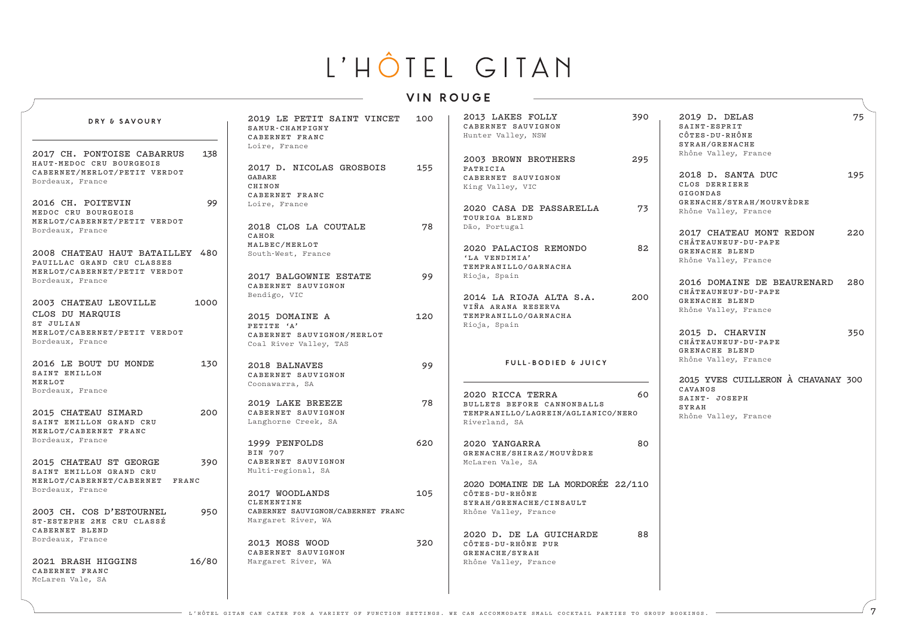### **VIN ROUGE**

| DRY & SAVOURY                                                                                              |       | 2019 LE PETIT SAINT VINCET<br>SAMUR-CHAMPIGNY<br>CABERNET FRANC<br>Loire, France | 100 | 2013 LAKES FOLLY<br>CABERNET SAUVIGNON<br>Hunter Valley, NSW                                          | 390 | 2019 D. DELAS<br>SAINT-ESPRIT<br>CÔTES-DU-RHÔNE<br>SYRAH/GRENACHE                        | 75  |
|------------------------------------------------------------------------------------------------------------|-------|----------------------------------------------------------------------------------|-----|-------------------------------------------------------------------------------------------------------|-----|------------------------------------------------------------------------------------------|-----|
| 2017 CH. PONTOISE CABARRUS<br>HAUT-MEDOC CRU BOURGEOIS<br>CABERNET/MERLOT/PETIT VERDOT<br>Bordeaux, France | 138   | 2017 D. NICOLAS GROSBOIS<br>GABARE<br>CHINON<br>CABERNET FRANC                   | 155 | 2003 BROWN BROTHERS<br>PATRICIA<br>CABERNET SAUVIGNON<br>King Valley, VIC                             | 295 | Rhône Valley, France<br>2018 D. SANTA DUC<br>CLOS DERRIERE<br>GIGONDAS                   | 195 |
| 2016 CH. POITEVIN<br>MEDOC CRU BOURGEOIS<br>MERLOT/CABERNET/PETIT VERDOT                                   | 99    | Loire, France                                                                    |     | 2020 CASA DE PASSARELLA<br>TOURIGA BLEND                                                              | 73  | GRENACHE/SYRAH/MOURVEDRE<br>Rhône Valley, France                                         |     |
| Bordeaux, France<br>2008 CHATEAU HAUT BATAILLEY 480<br>PAUILLAC GRAND CRU CLASSES                          |       | 2018 CLOS LA COUTALE<br>CAHOR<br>MALBEC/MERLOT<br>South-West, France             | 78  | Dão, Portugal<br>2020 PALACIOS REMONDO<br>'LA VENDIMIA'                                               | 82  | 2017 CHATEAU MONT REDON<br>CHÂTEAUNEUF-DU-PAPE<br>GRENACHE BLEND<br>Rhône Valley, France | 220 |
| MERLOT/CABERNET/PETIT VERDOT<br>Bordeaux, France                                                           |       | 2017 BALGOWNIE ESTATE<br>CABERNET SAUVIGNON<br>Bendigo, VIC                      | 99  | TEMPRANILLO/GARNACHA<br>Rioja, Spain<br>2014 LA RIOJA ALTA S.A.                                       | 200 | 2016 DOMAINE DE BEAURENARD<br>CHÂTEAUNEUF-DU-PAPE                                        | 280 |
| 2003 CHATEAU LEOVILLE<br>CLOS DU MARQUIS<br>ST JULIAN                                                      | 1000  | 2015 DOMAINE A<br>PETITE 'A'                                                     | 120 | VIÑA ARANA RESERVA<br>TEMPRANILLO/GARNACHA<br>Rioja, Spain                                            |     | GRENACHE BLEND<br>Rhône Valley, France                                                   |     |
| MERLOT/CABERNET/PETIT VERDOT<br>Bordeaux, France                                                           |       | CABERNET SAUVIGNON/MERLOT<br>Coal River Valley, TAS                              |     |                                                                                                       |     | 2015 D. CHARVIN<br>CHÂTEAUNEUF-DU-PAPE<br>GRENACHE BLEND<br>Rhône Valley, France         | 350 |
| 2016 LE BOUT DU MONDE<br>SAINT EMILLON<br>MERLOT                                                           | 130   | 2018 BALNAVES<br>CABERNET SAUVIGNON<br>Coonawarra, SA                            | 99  | <b>FULL-BODIED &amp; JUICY</b>                                                                        |     | 2015 YVES CUILLERON À CHAVANAY 300<br>CAVANOS                                            |     |
| Bordeaux, France<br>2015 CHATEAU SIMARD<br>SAINT EMILLON GRAND CRU<br>MERLOT/CABERNET FRANC                | 200   | 2019 LAKE BREEZE<br>CABERNET SAUVIGNON<br>Langhorne Creek, SA                    | 78  | 2020 RICCA TERRA<br>BULLETS BEFORE CANNONBALLS<br>TEMPRANILLO/LAGREIN/AGLIANICO/NERO<br>Riverland, SA | 60  | SAINT- JOSEPH<br>SYRAH<br>Rhône Valley, France                                           |     |
| Bordeaux, France                                                                                           |       | 1999 PENFOLDS<br>BIN 707<br>CABERNET SAUVIGNON                                   | 620 | 2020 YANGARRA<br>GRENACHE/SHIRAZ/MOUVEDRE<br>McLaren Vale, SA                                         | 80  |                                                                                          |     |
| 2015 CHATEAU ST GEORGE<br>SAINT EMILLON GRAND CRU<br>MERLOT/CABERNET/CABERNET FRANC                        | 390   | Multi-regional, SA                                                               |     | 2020 DOMAINE DE LA MORDORÉE 22/110                                                                    |     |                                                                                          |     |
| Bordeaux, France<br>2003 CH. COS D'ESTOURNEL                                                               | 950   | 2017 WOODLANDS<br>CLEMENTINE<br>CABERNET SAUVIGNON/CABERNET FRANC                | 105 | CÔTES-DU-RHÔNE<br>SYRAH/GRENACHE/CINSAULT<br>Rhône Valley, France                                     |     |                                                                                          |     |
| ST-ESTEPHE 2ME CRU CLASSÉ<br>CABERNET BLEND<br>Bordeaux, France                                            |       | Margaret River, WA<br>2013 MOSS WOOD<br>CABERNET SAUVIGNON                       | 320 | 2020 D. DE LA GUICHARDE<br>CÔTES-DU-RHÔNE PUR<br>GRENACHE/SYRAH                                       | 88  |                                                                                          |     |
| 2021 BRASH HIGGINS<br>CABERNET FRANC<br>McLaren Vale, SA                                                   | 16/80 | Margaret River, WA                                                               |     | Rhône Valley, France                                                                                  |     |                                                                                          |     |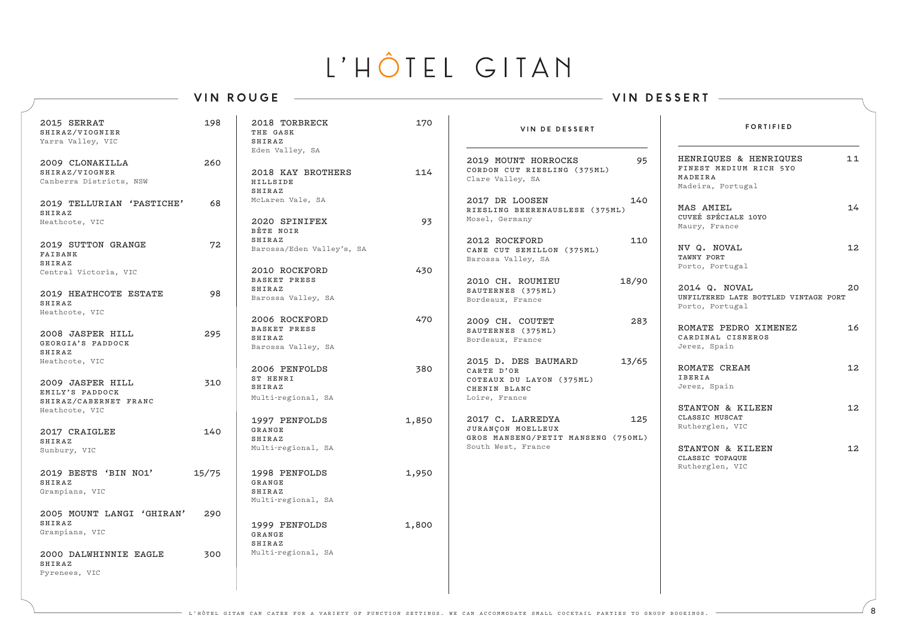### **VIN ROUGE VIN DESSERT**

| 2015 SERRAT<br>SHIRAZ/VIOGNIER<br>Yarra Valley, VIC                      | 198   | 2018 TORBRECK<br>THE GASK<br><b>SHIRAZ</b>                           | 170   | VIN DE DESSERT                                                                                           | <b>FORTIFIED</b>                                                                |                   |
|--------------------------------------------------------------------------|-------|----------------------------------------------------------------------|-------|----------------------------------------------------------------------------------------------------------|---------------------------------------------------------------------------------|-------------------|
| 2009 CLONAKILLA<br>SHIRAZ/VIOGNER<br>Canberra Districts, NSW             | 260   | Eden Valley, SA<br>2018 KAY BROTHERS<br>HILLSIDE<br>SHIRAZ           | 114   | 2019 MOUNT HORROCKS<br>95<br>CORDON CUT RIESLING (375ML)<br>Clare Valley, SA                             | HENRIQUES & HENRIQUES<br>FINEST MEDIUM RICH 5YO<br>MADEIRA<br>Madeira, Portugal | 11                |
| 2019 TELLURIAN 'PASTICHE'<br>SHIRAZ<br>Heathcote, VIC                    | 68    | McLaren Vale, SA<br>2020 SPINIFEX<br>BÊTE NOIR                       | 93    | 140<br>2017 DR LOOSEN<br>RIESLING BEERENAUSLESE (375ML)<br>Mosel, Germany                                | <b>MAS AMIEL</b><br>CUVEÉ SPÉCIALE 10YO<br>Maury, France                        | 14                |
| 2019 SUTTON GRANGE<br>FAIBANK<br>SHIRAZ<br>Central Victoria, VIC         | 72    | <b>SHIRAZ</b><br>Barossa/Eden Valley's, SA<br>2010 ROCKFORD          | 430   | 110<br>2012 ROCKFORD<br>CANE CUT SEMILLON (375ML)<br>Barossa Valley, SA                                  | NV Q. NOVAL<br>TAWNY PORT<br>Porto, Portugal                                    | 12                |
| 2019 HEATHCOTE ESTATE<br>SHIRAZ                                          | 98    | BASKET PRESS<br>SHIRAZ<br>Barossa Valley, SA                         |       | 18/90<br>2010 CH. ROUMIEU<br>SAUTERNES (375ML)<br>Bordeaux, France                                       | 2014 Q. NOVAL<br>UNFILTERED LATE BOTTLED VINTAGE PORT<br>Porto, Portugal        | 20                |
| Heathcote, VIC<br>2008 JASPER HILL<br>GEORGIA'S PADDOCK<br><b>SHIRAZ</b> | 295   | 2006 ROCKFORD<br>BASKET PRESS<br><b>SHIRAZ</b><br>Barossa Valley, SA | 470   | 283<br>2009 CH. COUTET<br>SAUTERNES (375ML)<br>Bordeaux, France                                          | ROMATE PEDRO XIMENEZ<br>CARDINAL CISNEROS<br>Jerez, Spain                       | 16                |
| Heathcote, VIC<br>2009 JASPER HILL<br>EMILY'S PADDOCK                    | 310   | 2006 PENFOLDS<br>ST HENRI<br>SHIRAZ<br>Multi-regional, SA            | 380   | 2015 D. DES BAUMARD<br>13/65<br>CARTE D'OR<br>COTEAUX DU LAYON (375ML)<br>CHENIN BLANC<br>Loire, France  | ROMATE CREAM<br><b>IBERIA</b><br>Jerez, Spain                                   | $12 \overline{ }$ |
| SHIRAZ/CABERNET FRANC<br>Heathcote, VIC<br>2017 CRAIGLEE<br>SHIRAZ       | 140   | 1997 PENFOLDS<br>GRANGE<br>SHIRAZ                                    | 1,850 | 2017 C. LARREDYA<br>125<br>JURANÇON MOELLEUX<br>GROS MANSENG/PETIT MANSENG (750ML)<br>South West, France | STANTON & KILEEN<br>CLASSIC MUSCAT<br>Rutherglen, VIC                           | $12 \overline{ }$ |
| Sunbury, VIC<br>2019 BESTS 'BIN NO1'<br><b>SHIRAZ</b>                    | 15/75 | Multi-regional, SA<br>1998 PENFOLDS<br>GRANGE                        | 1,950 |                                                                                                          | STANTON & KILEEN<br>CLASSIC TOPAQUE<br>Rutherglen, VIC                          | $12 \overline{ }$ |
| Grampians, VIC<br>2005 MOUNT LANGI 'GHIRAN'                              | 290   | SHIRAZ<br>Multi-regional, SA                                         |       |                                                                                                          |                                                                                 |                   |
| SHIRAZ<br>Grampians, VIC                                                 |       | 1999 PENFOLDS<br>GRANGE<br>SHIRAZ                                    | 1,800 |                                                                                                          |                                                                                 |                   |
| 2000 DALWHINNIE EAGLE<br>SHIRAZ<br>Pyrenees, VIC                         | 300   | Multi-regional, SA                                                   |       |                                                                                                          |                                                                                 |                   |